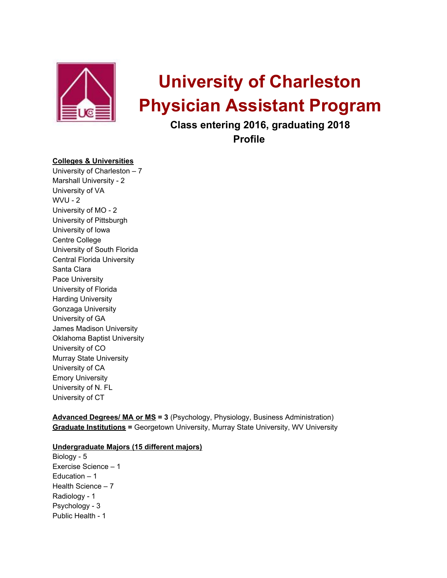

# **University of Charleston Physician Assistant Program**

**Class entering 2016, graduating 2018**

**Profile**

# **Colleges & Universities**

University of Charleston – 7 Marshall University - 2 University of VA WVU - 2 University of MO - 2 University of Pittsburgh University of Iowa Centre College University of South Florida Central Florida University Santa Clara Pace University University of Florida Harding University Gonzaga University University of GA James Madison University Oklahoma Baptist University University of CO Murray State University University of CA Emory University University of N. FL University of CT

**Advanced Degrees/ MA or MS = 3** (Psychology, Physiology, Business Administration) **Graduate Institutions =** Georgetown University, Murray State University, WV University

#### **Undergraduate Majors (15 different majors)**

Biology - 5 Exercise Science – 1 Education – 1 Health Science – 7 Radiology - 1 Psychology - 3 Public Health - 1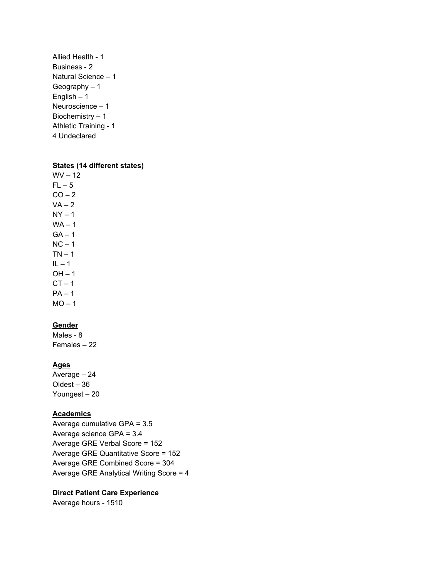Allied Health - 1 Business - 2 Natural Science – 1 Geography – 1 English – 1 Neuroscience – 1 Biochemistry – 1 Athletic Training - 1 4 Undeclared

#### **States (14 different states)**

 $WV - 12$  $FL - 5$  $CO - 2$  $VA - 2$  $NY - 1$  $WA - 1$  $GA - 1$  $NC - 1$  $TN - 1$  $IL - 1$  $OH - 1$  $CT - 1$  $PA - 1$  $MO - 1$ 

# **Gender**

Males - 8 Females – 22

# **Ages**

Average – 24 Oldest – 36 Youngest – 20

#### **Academics**

Average cumulative GPA = 3.5 Average science GPA = 3.4 Average GRE Verbal Score = 152 Average GRE Quantitative Score = 152 Average GRE Combined Score = 304 Average GRE Analytical Writing Score = 4

### **Direct Patient Care Experience**

Average hours - 1510